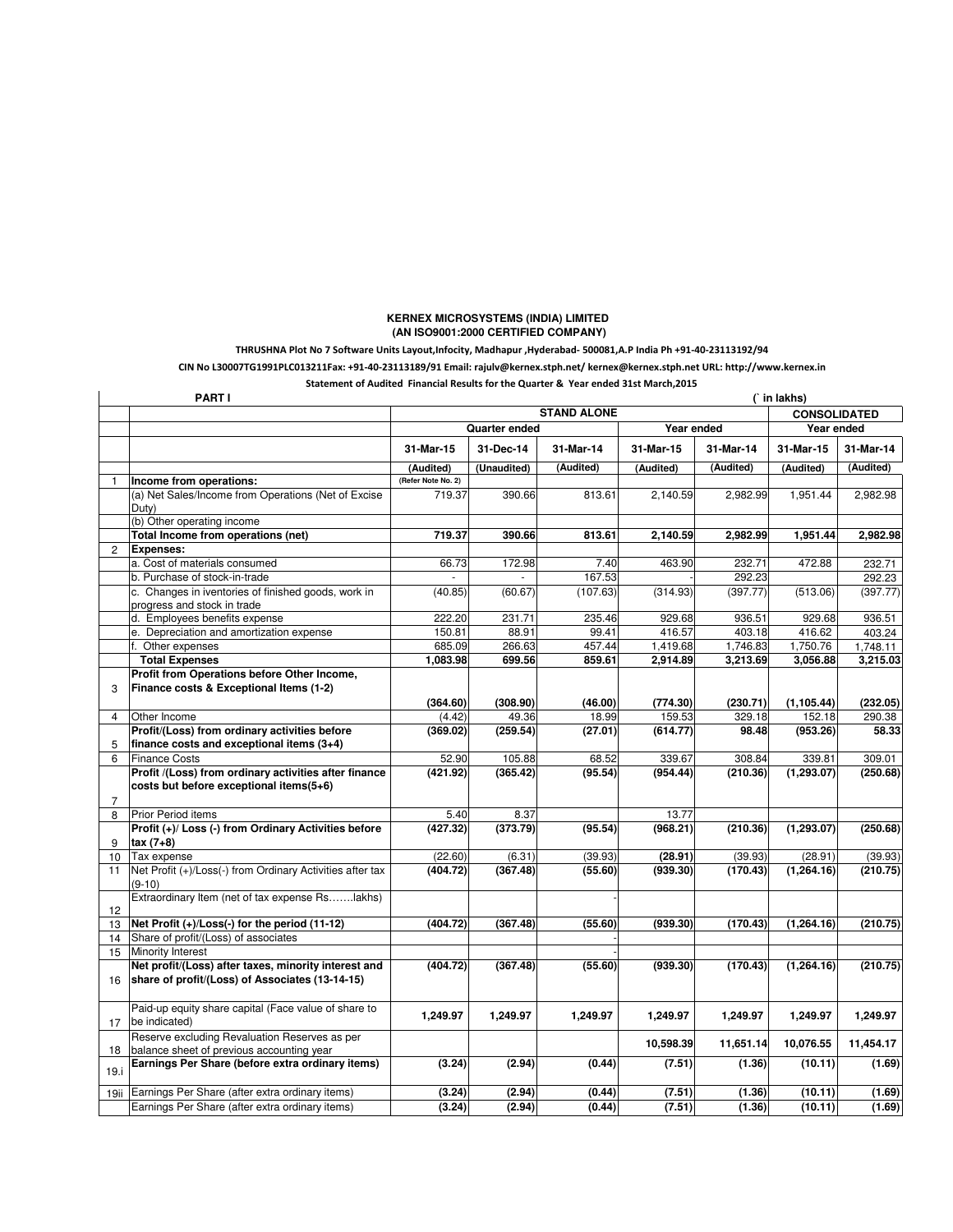## **KERNEX MICROSYSTEMS (INDIA) LIMITED (AN ISO9001:2000 CERTIFIED COMPANY)**

## THRUSHNA Plot No 7 Software Units Layout,Infocity, Madhapur ,Hyderabad- 500081,A.P India Ph +91-40-23113192/94

CIN No L30007TG1991PLC013211Fax: +91-40-23113189/91 Email: rajulv@kernex.stph.net/ kernex@kernex.stph.net URL: http://www.kernex.in

Statement of Audited Financial Results for the Quarter & Year ended 31st March,2015

|                 | <b>PARTI</b>                                                                                            |                    |             |            |           |            | (`in lakhs)         |           |
|-----------------|---------------------------------------------------------------------------------------------------------|--------------------|-------------|------------|-----------|------------|---------------------|-----------|
|                 |                                                                                                         | <b>STAND ALONE</b> |             |            |           |            | <b>CONSOLIDATED</b> |           |
|                 |                                                                                                         | Quarter ended      |             | Year ended |           | Year ended |                     |           |
|                 |                                                                                                         | 31-Mar-15          | 31-Dec-14   | 31-Mar-14  | 31-Mar-15 | 31-Mar-14  | 31-Mar-15           | 31-Mar-14 |
|                 |                                                                                                         | (Audited)          | (Unaudited) | (Audited)  | (Audited) | (Audited)  | (Audited)           | (Audited) |
| $\mathbf{1}$    | Income from operations:                                                                                 | (Refer Note No. 2) |             |            |           |            |                     |           |
|                 | (a) Net Sales/Income from Operations (Net of Excise<br>Duty)                                            | 719.37             | 390.66      | 813.61     | 2,140.59  | 2,982.99   | 1,951.44            | 2,982.98  |
|                 | (b) Other operating income                                                                              |                    |             |            |           |            |                     |           |
|                 | Total Income from operations (net)                                                                      | 719.37             | 390.66      | 813.61     | 2,140.59  | 2,982.99   | 1,951.44            | 2,982.98  |
| $\overline{2}$  | <b>Expenses:</b>                                                                                        |                    |             |            |           |            |                     |           |
|                 | a. Cost of materials consumed                                                                           | 66.73              | 172.98      | 7.40       | 463.90    | 232.71     | 472.88              | 232.71    |
|                 | b. Purchase of stock-in-trade                                                                           |                    |             | 167.53     |           | 292.23     |                     | 292.23    |
|                 | c. Changes in iventories of finished goods, work in<br>progress and stock in trade                      | (40.85)            | (60.67)     | (107.63)   | (314.93)  | (397.77)   | (513.06)            | (397.77)  |
|                 | d. Employees benefits expense                                                                           | 222.20             | 231.71      | 235.46     | 929.68    | 936.51     | 929.68              | 936.51    |
|                 | e. Depreciation and amortization expense                                                                | 150.81             | 88.91       | 99.41      | 416.57    | 403.18     | 416.62              | 403.24    |
|                 | Other expenses                                                                                          | 685.09             | 266.63      | 457.44     | 1,419.68  | 1,746.83   | 1,750.76            | 1,748.11  |
|                 | <b>Total Expenses</b>                                                                                   | 1,083.98           | 699.56      | 859.61     | 2,914.89  | 3,213.69   | 3,056.88            | 3,215.03  |
|                 | Profit from Operations before Other Income,                                                             |                    |             |            |           |            |                     |           |
| 3               | Finance costs & Exceptional Items (1-2)                                                                 |                    |             |            |           |            |                     |           |
|                 |                                                                                                         | (364.60)           | (308.90)    | (46.00)    | (774.30)  | (230.71)   | (1, 105.44)         | (232.05)  |
| $\overline{4}$  | Other Income                                                                                            | (4.42)             | 49.36       | 18.99      | 159.53    | 329.18     | 152.18              | 290.38    |
|                 | Profit/(Loss) from ordinary activities before                                                           | (369.02)           | (259.54)    | (27.01)    | (614.77)  | 98.48      | (953.26)            | 58.33     |
| 5               | finance costs and exceptional items (3+4)                                                               |                    |             |            |           |            |                     |           |
| 6               | <b>Finance Costs</b>                                                                                    | 52.90              | 105.88      | 68.52      | 339.67    | 308.84     | 339.81              | 309.01    |
|                 | Profit /(Loss) from ordinary activities after finance                                                   | (421.92)           | (365.42)    | (95.54)    | (954.44)  | (210.36)   | (1, 293.07)         | (250.68)  |
|                 | costs but before exceptional items(5+6)                                                                 |                    |             |            |           |            |                     |           |
| $\overline{7}$  |                                                                                                         | 5.40               | 8.37        |            | 13.77     |            |                     |           |
| 8               | Prior Period items<br>Profit (+)/ Loss (-) from Ordinary Activities before                              |                    | (373.79)    |            |           |            |                     |           |
| 9               | tax $(7+8)$                                                                                             | (427.32)           |             | (95.54)    | (968.21)  | (210.36)   | (1, 293.07)         | (250.68)  |
| 10 <sup>1</sup> | Tax expense                                                                                             | (22.60)            | (6.31)      | (39.93)    | (28.91)   | (39.93)    | (28.91)             | (39.93)   |
| 11              | Net Profit (+)/Loss(-) from Ordinary Activities after tax<br>$(9-10)$                                   | (404.72)           | (367.48)    | (55.60)    | (939.30)  | (170.43)   | (1, 264.16)         | (210.75)  |
|                 | Extraordinary Item (net of tax expense Rslakhs)                                                         |                    |             |            |           |            |                     |           |
| 12              |                                                                                                         |                    |             |            |           |            |                     |           |
| 13              | Net Profit (+)/Loss(-) for the period (11-12)                                                           | (404.72)           | (367.48)    | (55.60)    | (939.30)  | (170.43)   | (1, 264.16)         | (210.75)  |
| 14              | Share of profit/(Loss) of associates                                                                    |                    |             |            |           |            |                     |           |
| 15              | <b>Minority Interest</b>                                                                                |                    |             |            |           |            |                     |           |
| 16              | Net profit/(Loss) after taxes, minority interest and<br>share of profit/(Loss) of Associates (13-14-15) | (404.72)           | (367.48)    | (55.60)    | (939.30)  | (170.43)   | (1, 264.16)         | (210.75)  |
| 17              | Paid-up equity share capital (Face value of share to<br>be indicated)                                   | 1,249.97           | 1,249.97    | 1,249.97   | 1,249.97  | 1,249.97   | 1,249.97            | 1,249.97  |
|                 | Reserve excluding Revaluation Reserves as per                                                           |                    |             |            | 10,598.39 | 11,651.14  | 10,076.55           | 11,454.17 |
| 18              | balance sheet of previous accounting year                                                               |                    |             |            |           |            |                     |           |
| 19.i            | Earnings Per Share (before extra ordinary items)                                                        | (3.24)             | (2.94)      | (0.44)     | (7.51)    | (1.36)     | (10.11)             | (1.69)    |
| 19ii            | Earnings Per Share (after extra ordinary items)                                                         | (3.24)             | (2.94)      | (0.44)     | (7.51)    | (1.36)     | (10.11)             | (1.69)    |
|                 | Earnings Per Share (after extra ordinary items)                                                         | (3.24)             | (2.94)      | (0.44)     | (7.51)    | (1.36)     | (10.11)             | (1.69)    |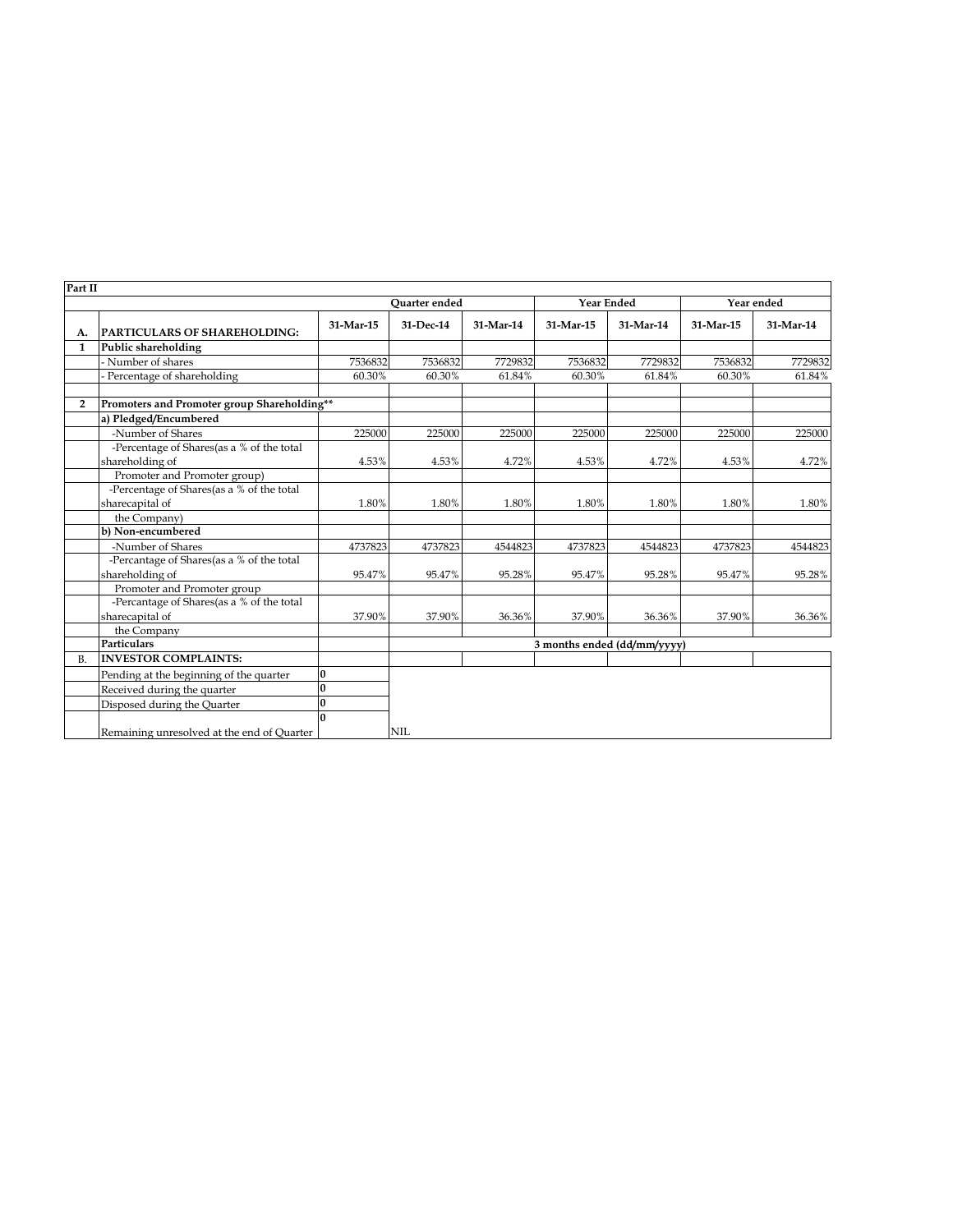| Part II        |                                                              |              |                             |           |                   |           |            |           |
|----------------|--------------------------------------------------------------|--------------|-----------------------------|-----------|-------------------|-----------|------------|-----------|
|                |                                                              |              | <b>Ouarter</b> ended        |           | <b>Year Ended</b> |           | Year ended |           |
| А.             | PARTICULARS OF SHAREHOLDING:                                 | 31-Mar-15    | 31-Dec-14                   | 31-Mar-14 | 31-Mar-15         | 31-Mar-14 | 31-Mar-15  | 31-Mar-14 |
| $\mathbf{1}$   | Public shareholding                                          |              |                             |           |                   |           |            |           |
|                | - Number of shares                                           | 7536832      | 7536832                     | 7729832   | 7536832           | 7729832   | 7536832    | 7729832   |
|                | Percentage of shareholding                                   | 60.30%       | 60.30%                      | 61.84%    | 60.30%            | 61.84%    | 60.30%     | 61.84%    |
| $\overline{2}$ | Promoters and Promoter group Shareholding**                  |              |                             |           |                   |           |            |           |
|                | a) Pledged/Encumbered                                        |              |                             |           |                   |           |            |           |
|                | -Number of Shares                                            | 225000       | 225000                      | 225000    | 225000            | 225000    | 225000     | 225000    |
|                | -Percentage of Shares(as a % of the total                    |              |                             |           |                   |           |            |           |
|                | shareholding of<br>Promoter and Promoter group)              | 4.53%        | 4.53%                       | 4.72%     | 4.53%             | 4.72%     | 4.53%      | 4.72%     |
|                | -Percentage of Shares(as a % of the total                    |              |                             |           |                   |           |            |           |
|                | sharecapital of                                              | 1.80%        | 1.80%                       | 1.80%     | 1.80%             | 1.80%     | 1.80%      | 1.80%     |
|                | the Company)                                                 |              |                             |           |                   |           |            |           |
|                | b) Non-encumbered                                            |              |                             |           |                   |           |            |           |
|                | -Number of Shares                                            | 4737823      | 4737823                     | 4544823   | 4737823           | 4544823   | 4737823    | 4544823   |
|                | -Percantage of Shares(as a % of the total<br>shareholding of | 95.47%       | 95.47%                      | 95.28%    | 95.47%            | 95.28%    | 95.47%     | 95.28%    |
|                | Promoter and Promoter group                                  |              |                             |           |                   |           |            |           |
|                | -Percantage of Shares(as a % of the total<br>sharecapital of | 37.90%       | 37.90%                      | 36.36%    | 37.90%            | 36.36%    | 37.90%     | 36.36%    |
|                | the Company                                                  |              |                             |           |                   |           |            |           |
|                | <b>Particulars</b>                                           |              | 3 months ended (dd/mm/yyyy) |           |                   |           |            |           |
| B <sub>1</sub> | <b>INVESTOR COMPLAINTS:</b>                                  |              |                             |           |                   |           |            |           |
|                | Pending at the beginning of the quarter                      | $\bf{0}$     |                             |           |                   |           |            |           |
|                | Received during the quarter                                  | <sup>0</sup> |                             |           |                   |           |            |           |
|                | Disposed during the Quarter                                  | $\bf{0}$     |                             |           |                   |           |            |           |
|                | Remaining unresolved at the end of Quarter                   | n            | NIL                         |           |                   |           |            |           |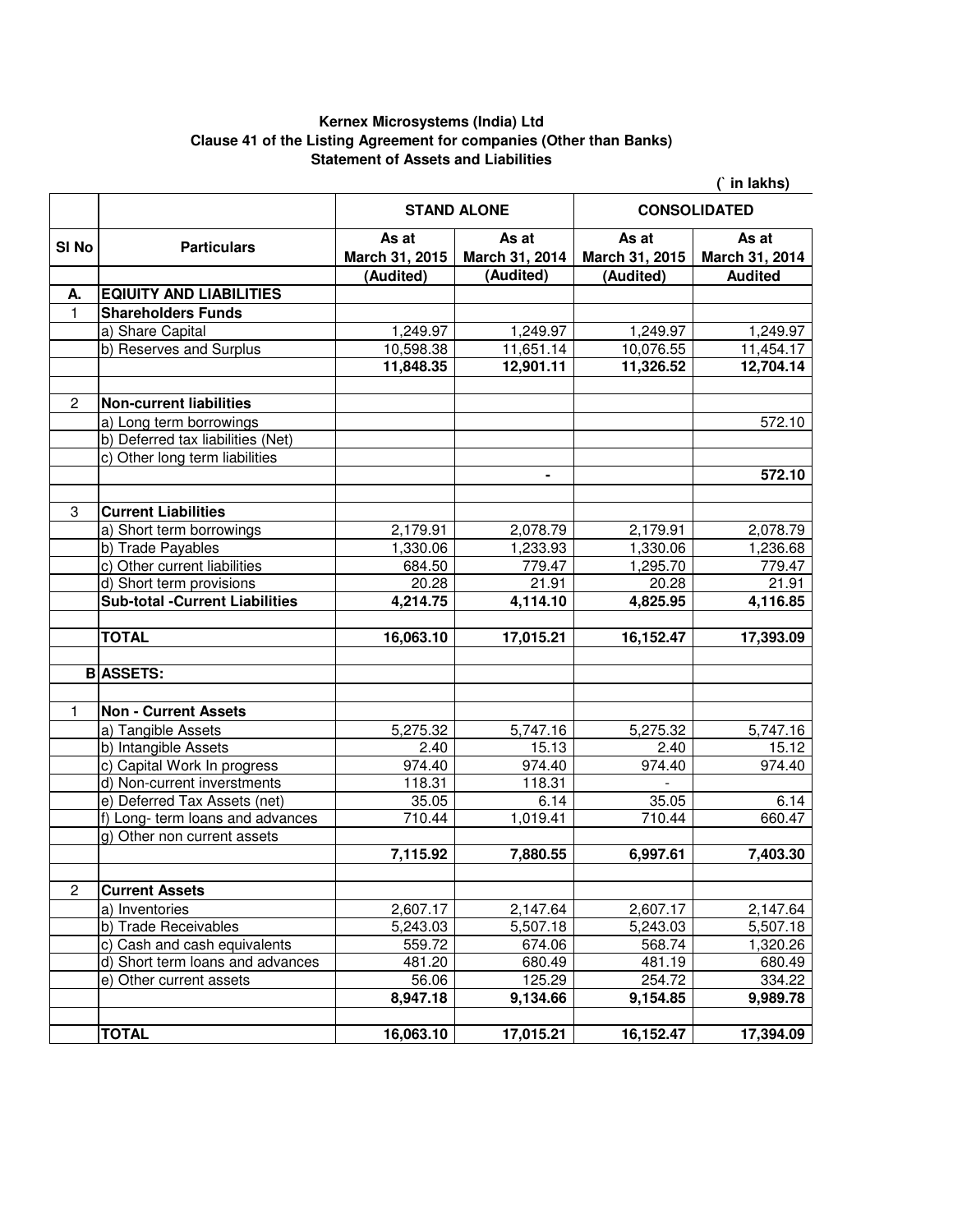## **Kernex Microsystems (India) Ltd Clause 41 of the Listing Agreement for companies (Other than Banks) Statement of Assets and Liabilities**

|                  |                                       |                         | (` in lakhs)            |                         |                         |  |
|------------------|---------------------------------------|-------------------------|-------------------------|-------------------------|-------------------------|--|
|                  |                                       | <b>STAND ALONE</b>      |                         | <b>CONSOLIDATED</b>     |                         |  |
| SI <sub>No</sub> | <b>Particulars</b>                    | As at<br>March 31, 2015 | As at<br>March 31, 2014 | As at<br>March 31, 2015 | As at<br>March 31, 2014 |  |
|                  |                                       | (Audited)               | (Audited)               | (Audited)               | <b>Audited</b>          |  |
| А.               | <b>EQIUITY AND LIABILITIES</b>        |                         |                         |                         |                         |  |
| $\mathbf{1}$     | <b>Shareholders Funds</b>             |                         |                         |                         |                         |  |
|                  | a) Share Capital                      | 1,249.97                | 1,249.97                | 1,249.97                | 1,249.97                |  |
|                  | b) Reserves and Surplus               | 10,598.38               | 11,651.14               | 10,076.55               | 11,454.17               |  |
|                  |                                       | 11,848.35               | 12,901.11               | 11,326.52               | 12,704.14               |  |
| 2                | <b>Non-current liabilities</b>        |                         |                         |                         |                         |  |
|                  | a) Long term borrowings               |                         |                         |                         | 572.10                  |  |
|                  | b) Deferred tax liabilities (Net)     |                         |                         |                         |                         |  |
|                  | c) Other long term liabilities        |                         |                         |                         |                         |  |
|                  |                                       |                         | ٠                       |                         | 572.10                  |  |
| 3                | <b>Current Liabilities</b>            |                         |                         |                         |                         |  |
|                  | a) Short term borrowings              | 2,179.91                | 2,078.79                | 2,179.91                | 2,078.79                |  |
|                  | b) Trade Payables                     | 1,330.06                | 1,233.93                | 1,330.06                | 1,236.68                |  |
|                  | c) Other current liabilities          | 684.50                  | 779.47                  | 1,295.70                | 779.47                  |  |
|                  | d) Short term provisions              | 20.28                   | 21.91                   | 20.28                   | 21.91                   |  |
|                  | <b>Sub-total -Current Liabilities</b> | 4,214.75                | 4,114.10                | 4,825.95                | 4,116.85                |  |
|                  | <b>TOTAL</b>                          | 16,063.10               | 17,015.21               | 16,152.47               | 17,393.09               |  |
|                  | <b>B</b> ASSETS:                      |                         |                         |                         |                         |  |
|                  |                                       |                         |                         |                         |                         |  |
| 1                | <b>Non - Current Assets</b>           |                         |                         |                         |                         |  |
|                  | a) Tangible Assets                    | 5,275.32                | 5,747.16                | 5,275.32                | 5,747.16                |  |
|                  | b) Intangible Assets                  | 2.40                    | 15.13                   | 2.40                    | 15.12                   |  |
|                  | c) Capital Work In progress           | 974.40                  | 974.40                  | 974.40                  | 974.40                  |  |
|                  | d) Non-current inverstments           | 118.31                  | 118.31                  |                         |                         |  |
|                  | e) Deferred Tax Assets (net)          | 35.05                   | 6.14                    | 35.05                   | 6.14                    |  |
|                  | f) Long- term loans and advances      | 710.44                  | 1,019.41                | 710.44                  | 660.47                  |  |
|                  | g) Other non current assets           |                         |                         |                         |                         |  |
|                  |                                       | 7,115.92                | 7,880.55                | 6,997.61                | 7,403.30                |  |
| $\overline{2}$   | <b>Current Assets</b>                 |                         |                         |                         |                         |  |
|                  | a) Inventories                        | 2,607.17                | 2,147.64                | 2,607.17                | 2,147.64                |  |
|                  | b) Trade Receivables                  | 5,243.03                | 5,507.18                | 5,243.03                | 5,507.18                |  |
|                  | c) Cash and cash equivalents          | 559.72                  | 674.06                  | 568.74                  | 1,320.26                |  |
|                  | d) Short term loans and advances      | 481.20                  | 680.49                  | 481.19                  | 680.49                  |  |
|                  | e) Other current assets               | 56.06                   | 125.29                  | 254.72                  | 334.22                  |  |
|                  |                                       | 8,947.18                | 9,134.66                | 9,154.85                | 9,989.78                |  |
|                  | <b>TOTAL</b>                          | 16,063.10               | 17,015.21               | 16,152.47               | 17,394.09               |  |